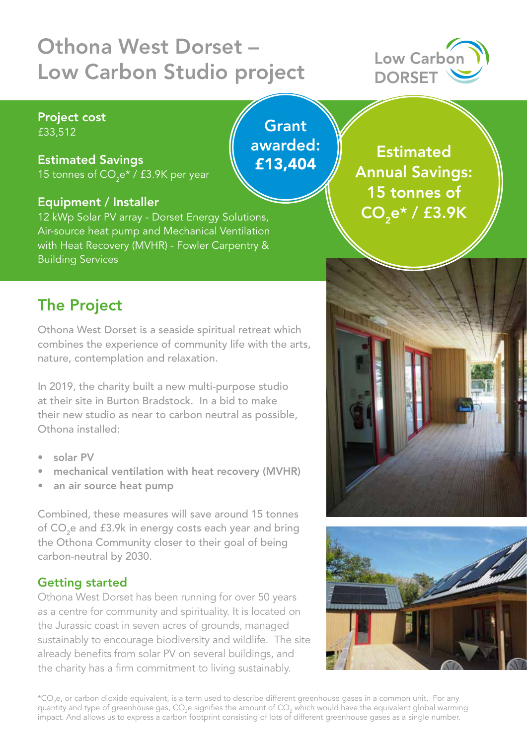# Othona West Dorset – Low Carbon Studio project

**Grant** 

awarded:

£13,404



#### Project cost £33,512

#### Estimated Savings

15 tonnes of CO $_2$ e\* / £3.9K per year

#### Equipment / Installer

12 kWp Solar PV array - Dorset Energy Solutions, Air-source heat pump and Mechanical Ventilation with Heat Recovery (MVHR) - Fowler Carpentry & Building Services

**Estimated** Annual Savings: 15 tonnes of  $\overline{{\mathsf{CO}}_{2}}$ e\* /  $\overline{{\mathsf{E}}3.9\mathsf{K}}$ 

# The Project

Othona West Dorset is a seaside spiritual retreat which combines the experience of community life with the arts, nature, contemplation and relaxation.

In 2019, the charity built a new multi-purpose studio at their site in Burton Bradstock. In a bid to make their new studio as near to carbon neutral as possible, Othona installed:

- solar PV
- mechanical ventilation with heat recovery (MVHR)
- an air source heat pump

Combined, these measures will save around 15 tonnes of CO<sub>2</sub>e and £3.9k in energy costs each year and bring the Othona Community closer to their goal of being carbon-neutral by 2030.

#### Getting started

Othona West Dorset has been running for over 50 years as a centre for community and spirituality. It is located on the Jurassic coast in seven acres of grounds, managed sustainably to encourage biodiversity and wildlife. The site already benefits from solar PV on several buildings, and the charity has a firm commitment to living sustainably.





\*CO<sub>2</sub>e, or carbon dioxide equivalent, is a term used to describe different greenhouse gases in a common unit. For any quantity and type of greenhouse gas, CO<sub>2</sub>e signifies the amount of CO<sub>2</sub> which would have the equivalent global warming impact. And allows us to express a carbon footprint consisting of lots of different greenhouse gases as a single number.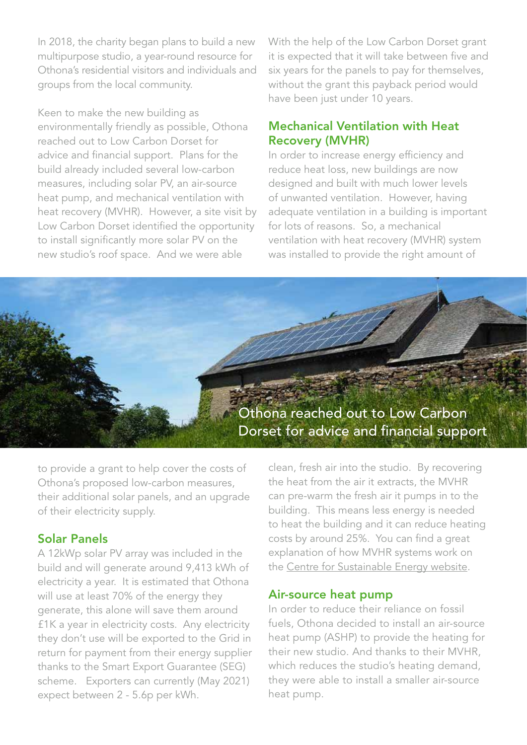In 2018, the charity began plans to build a new multipurpose studio, a year-round resource for Othona's residential visitors and individuals and groups from the local community.

Keen to make the new building as environmentally friendly as possible, Othona reached out to Low Carbon Dorset for advice and financial support. Plans for the build already included several low-carbon measures, including solar PV, an air-source heat pump, and mechanical ventilation with heat recovery (MVHR). However, a site visit by Low Carbon Dorset identified the opportunity to install significantly more solar PV on the new studio's roof space. And we were able

With the help of the Low Carbon Dorset grant it is expected that it will take between five and six years for the panels to pay for themselves, without the grant this payback period would have been just under 10 years.

#### Mechanical Ventilation with Heat Recovery (MVHR)

In order to increase energy efficiency and reduce heat loss, new buildings are now designed and built with much lower levels of unwanted ventilation. However, having adequate ventilation in a building is important for lots of reasons. So, a mechanical ventilation with heat recovery (MVHR) system was installed to provide the right amount of



to provide a grant to help cover the costs of Othona's proposed low-carbon measures, their additional solar panels, and an upgrade of their electricity supply.

#### Solar Panels

A 12kWp solar PV array was included in the build and will generate around 9,413 kWh of electricity a year. It is estimated that Othona will use at least 70% of the energy they generate, this alone will save them around £1K a year in electricity costs. Any electricity they don't use will be exported to the Grid in return for payment from their energy supplier thanks to the Smart Export Guarantee (SEG) scheme. Exporters can currently (May 2021) expect between 2 - 5.6p per kWh.

clean, fresh air into the studio. By recovering the heat from the air it extracts, the MVHR can pre-warm the fresh air it pumps in to the building. This means less energy is needed to heat the building and it can reduce heating costs by around 25%. You can find a great explanation of how MVHR systems work on the [Centre for Sustainable Energy website.](https://www.cse.org.uk/advice/advice-and-support/mechanical-ventilation-with-heat-recovery) 

#### Air-source heat pump

In order to reduce their reliance on fossil fuels, Othona decided to install an air-source heat pump (ASHP) to provide the heating for their new studio. And thanks to their MVHR, which reduces the studio's heating demand, they were able to install a smaller air-source heat pump.